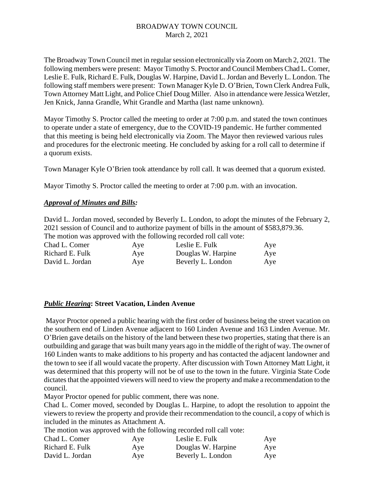The Broadway Town Council met in regular session electronically via Zoom on March 2, 2021. The following members were present: Mayor Timothy S. Proctor and Council Members Chad L. Comer, Leslie E. Fulk, Richard E. Fulk, Douglas W. Harpine, David L. Jordan and Beverly L. London. The following staff members were present: Town Manager Kyle D. O'Brien, Town Clerk Andrea Fulk, Town Attorney Matt Light, and Police Chief Doug Miller. Also in attendance were Jessica Wetzler, Jen Knick, Janna Grandle, Whit Grandle and Martha (last name unknown).

Mayor Timothy S. Proctor called the meeting to order at 7:00 p.m. and stated the town continues to operate under a state of emergency, due to the COVID-19 pandemic. He further commented that this meeting is being held electronically via Zoom. The Mayor then reviewed various rules and procedures for the electronic meeting. He concluded by asking for a roll call to determine if a quorum exists.

Town Manager Kyle O'Brien took attendance by roll call. It was deemed that a quorum existed.

Mayor Timothy S. Proctor called the meeting to order at 7:00 p.m. with an invocation.

#### *Approval of Minutes and Bills:*

David L. Jordan moved, seconded by Beverly L. London, to adopt the minutes of the February 2, 2021 session of Council and to authorize payment of bills in the amount of \$583,879.36.

The motion was approved with the following recorded roll call vote:

| Chad L. Comer   | Aye | Leslie E. Fulk     | Aye |
|-----------------|-----|--------------------|-----|
| Richard E. Fulk | Aye | Douglas W. Harpine | Aye |
| David L. Jordan | Aye | Beverly L. London  | Aye |

#### *Public Hearing***: Street Vacation, Linden Avenue**

Mayor Proctor opened a public hearing with the first order of business being the street vacation on the southern end of Linden Avenue adjacent to 160 Linden Avenue and 163 Linden Avenue. Mr. O'Brien gave details on the history of the land between these two properties, stating that there is an outbuilding and garage that was built many years ago in the middle of the right of way. The owner of 160 Linden wants to make additions to his property and has contacted the adjacent landowner and the town to see if all would vacate the property. After discussion with Town Attorney Matt Light, it was determined that this property will not be of use to the town in the future. Virginia State Code dictates that the appointed viewers will need to view the property and make a recommendation to the council.

Mayor Proctor opened for public comment, there was none.

Chad L. Comer moved, seconded by Douglas L. Harpine, to adopt the resolution to appoint the viewers to review the property and provide their recommendation to the council, a copy of which is included in the minutes as Attachment A.

The motion was approved with the following recorded roll call vote:

| Chad L. Comer   | Aye | Leslie E. Fulk     | Aye |
|-----------------|-----|--------------------|-----|
| Richard E. Fulk | Aye | Douglas W. Harpine | Aye |
| David L. Jordan | Aye | Beverly L. London  | Aye |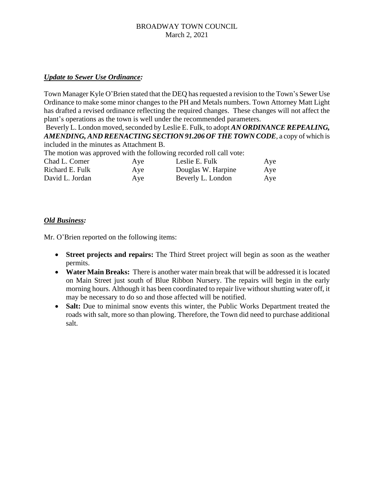## *Update to Sewer Use Ordinance:*

Town Manager Kyle O'Brien stated that the DEQ has requested a revision to the Town's Sewer Use Ordinance to make some minor changes to the PH and Metals numbers. Town Attorney Matt Light has drafted a revised ordinance reflecting the required changes. These changes will not affect the plant's operations as the town is well under the recommended parameters.

Beverly L. London moved, seconded by Leslie E. Fulk, to adopt *AN ORDINANCE REPEALING, AMENDING, AND REENACTING SECTION 91.206 OF THE TOWN CODE*, a copy of which is included in the minutes as Attachment B.

The motion was approved with the following recorded roll call vote:

| Chad L. Comer   | Aye | Leslie E. Fulk     | Aye |
|-----------------|-----|--------------------|-----|
| Richard E. Fulk | Aye | Douglas W. Harpine | Aye |
| David L. Jordan | Aye | Beverly L. London  | Aye |

## *Old Business:*

Mr. O'Brien reported on the following items:

- **Street projects and repairs:** The Third Street project will begin as soon as the weather permits.
- **Water Main Breaks:** There is another water main break that will be addressed it is located on Main Street just south of Blue Ribbon Nursery. The repairs will begin in the early morning hours. Although it has been coordinated to repair live without shutting water off, it may be necessary to do so and those affected will be notified.
- **Salt:** Due to minimal snow events this winter, the Public Works Department treated the roads with salt, more so than plowing. Therefore, the Town did need to purchase additional salt.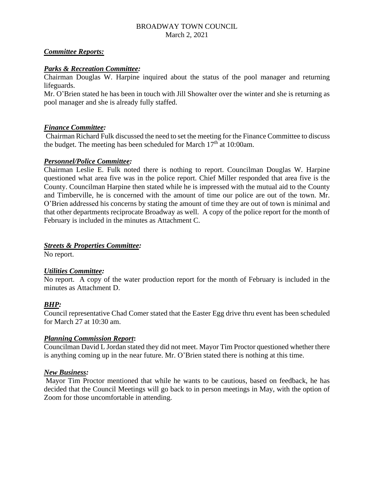# *Committee Reports:*

# *Parks & Recreation Committee:*

Chairman Douglas W. Harpine inquired about the status of the pool manager and returning lifeguards.

Mr. O'Brien stated he has been in touch with Jill Showalter over the winter and she is returning as pool manager and she is already fully staffed.

# *Finance Committee:*

Chairman Richard Fulk discussed the need to set the meeting for the Finance Committee to discuss the budget. The meeting has been scheduled for March  $17<sup>th</sup>$  at  $10:00$ am.

#### *Personnel/Police Committee:*

Chairman Leslie E. Fulk noted there is nothing to report. Councilman Douglas W. Harpine questioned what area five was in the police report. Chief Miller responded that area five is the County. Councilman Harpine then stated while he is impressed with the mutual aid to the County and Timberville, he is concerned with the amount of time our police are out of the town. Mr. O'Brien addressed his concerns by stating the amount of time they are out of town is minimal and that other departments reciprocate Broadway as well. A copy of the police report for the month of February is included in the minutes as Attachment C.

# *Streets & Properties Committee:*

No report.

#### *Utilities Committee:*

No report. A copy of the water production report for the month of February is included in the minutes as Attachment D.

# *BHP:*

Council representative Chad Comer stated that the Easter Egg drive thru event has been scheduled for March 27 at 10:30 am.

#### *Planning Commission Report***:**

Councilman David L Jordan stated they did not meet. Mayor Tim Proctor questioned whether there is anything coming up in the near future. Mr. O'Brien stated there is nothing at this time.

#### *New Business:*

Mayor Tim Proctor mentioned that while he wants to be cautious, based on feedback, he has decided that the Council Meetings will go back to in person meetings in May, with the option of Zoom for those uncomfortable in attending.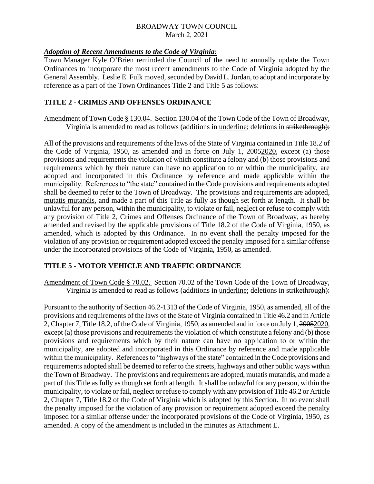# *Adoption of Recent Amendments to the Code of Virginia:*

Town Manager Kyle O'Brien reminded the Council of the need to annually update the Town Ordinances to incorporate the most recent amendments to the Code of Virginia adopted by the General Assembly. Leslie E. Fulk moved, seconded by David L. Jordan, to adopt and incorporate by reference as a part of the Town Ordinances Title 2 and Title 5 as follows:

# **TITLE 2 - CRIMES AND OFFENSES ORDINANCE**

Amendment of Town Code § 130.04. Section 130.04 of the Town Code of the Town of Broadway, Virginia is amended to read as follows (additions in underline; deletions in strikethrough):

All of the provisions and requirements of the laws of the State of Virginia contained in Title 18.2 of the Code of Virginia, 1950, as amended and in force on July 1, 20052020, except (a) those provisions and requirements the violation of which constitute a felony and (b) those provisions and requirements which by their nature can have no application to or within the municipality, are adopted and incorporated in this Ordinance by reference and made applicable within the municipality. References to "the state" contained in the Code provisions and requirements adopted shall be deemed to refer to the Town of Broadway. The provisions and requirements are adopted, mutatis mutandis, and made a part of this Title as fully as though set forth at length. It shall be unlawful for any person, within the municipality, to violate or fail, neglect or refuse to comply with any provision of Title 2, Crimes and Offenses Ordinance of the Town of Broadway, as hereby amended and revised by the applicable provisions of Title 18.2 of the Code of Virginia, 1950, as amended, which is adopted by this Ordinance. In no event shall the penalty imposed for the violation of any provision or requirement adopted exceed the penalty imposed for a similar offense under the incorporated provisions of the Code of Virginia, 1950, as amended.

# **TITLE 5 - MOTOR VEHICLE AND TRAFFIC ORDINANCE**

Amendment of Town Code § 70.02. Section 70.02 of the Town Code of the Town of Broadway, Virginia is amended to read as follows (additions in <u>underline</u>; deletions in strikethrough):

Pursuant to the authority of Section 46.2-1313 of the Code of Virginia, 1950, as amended, all of the provisions and requirements of the laws of the State of Virginia contained in Title 46.2 and in Article 2, Chapter 7, Title 18.2, of the Code of Virginia, 1950, as amended and in force on July 1, 20052020, except (a) those provisions and requirements the violation of which constitute a felony and (b) those provisions and requirements which by their nature can have no application to or within the municipality, are adopted and incorporated in this Ordinance by reference and made applicable within the municipality. References to "highways of the state" contained in the Code provisions and requirements adopted shall be deemed to refer to the streets, highways and other public ways within the Town of Broadway. The provisions and requirements are adopted, mutatis mutandis, and made a part of this Title as fully as though set forth at length. It shall be unlawful for any person, within the municipality, to violate or fail, neglect or refuse to comply with any provision of Title 46.2 or Article 2, Chapter 7, Title 18.2 of the Code of Virginia which is adopted by this Section. In no event shall the penalty imposed for the violation of any provision or requirement adopted exceed the penalty imposed for a similar offense under the incorporated provisions of the Code of Virginia, 1950, as amended. A copy of the amendment is included in the minutes as Attachment E.